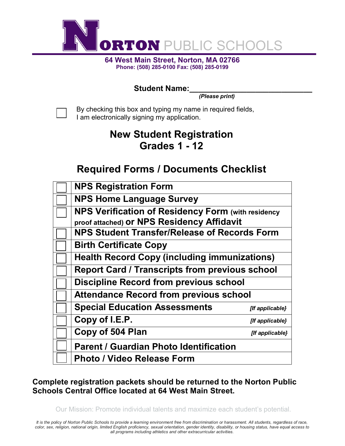

**64 West Main Street, Norton, MA 02766 Phone: (508) 285-0100 Fax: (508) 285-0199**

### Student Name:

*(Please print)*

By checking this box and typing my name in required fields, I am electronically signing my application.

## **New Student Registration Grades 1 - 12**

## **Required Forms / Documents Checklist**

| <b>NPS Registration Form</b>                              |                 |  |
|-----------------------------------------------------------|-----------------|--|
| <b>NPS Home Language Survey</b>                           |                 |  |
| <b>NPS Verification of Residency Form (with residency</b> |                 |  |
| proof attached) Or NPS Residency Affidavit                |                 |  |
| <b>NPS Student Transfer/Release of Records Form</b>       |                 |  |
| <b>Birth Certificate Copy</b>                             |                 |  |
| <b>Health Record Copy (including immunizations)</b>       |                 |  |
| <b>Report Card / Transcripts from previous school</b>     |                 |  |
| <b>Discipline Record from previous school</b>             |                 |  |
| <b>Attendance Record from previous school</b>             |                 |  |
| <b>Special Education Assessments</b>                      | [If applicable} |  |
| Copy of I.E.P.                                            | [If applicable} |  |
| Copy of 504 Plan                                          | [If applicable} |  |
| <b>Parent / Guardian Photo Identification</b>             |                 |  |
| Photo / Video Release Form                                |                 |  |

### **Complete registration packets should be returned to the Norton Public Schools Central Office located at 64 West Main Street.**

Our Mission: Promote individual talents and maximize each student's potential.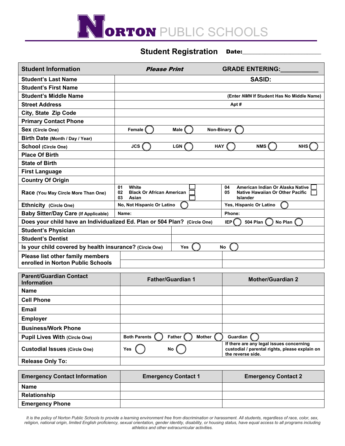

#### **Student Registration** Date:

| <b>Student Information</b>                                                  | <b>Please Print</b>                                                       | <b>GRADE ENTERING:</b>                                                                                          |  |  |
|-----------------------------------------------------------------------------|---------------------------------------------------------------------------|-----------------------------------------------------------------------------------------------------------------|--|--|
| <b>Student's Last Name</b>                                                  |                                                                           | <b>SASID:</b>                                                                                                   |  |  |
| <b>Student's First Name</b>                                                 |                                                                           |                                                                                                                 |  |  |
| <b>Student's Middle Name</b>                                                |                                                                           | (Enter NMN If Student Has No Middle Name)                                                                       |  |  |
| <b>Street Address</b>                                                       | Apt#                                                                      |                                                                                                                 |  |  |
| City, State Zip Code                                                        |                                                                           |                                                                                                                 |  |  |
| <b>Primary Contact Phone</b>                                                |                                                                           |                                                                                                                 |  |  |
| Sex (Circle One)                                                            | Non-Binary<br>Female<br>Male                                              |                                                                                                                 |  |  |
| Birth Date (Month / Day / Year)                                             |                                                                           |                                                                                                                 |  |  |
| School (Circle One)                                                         | <b>JCS</b><br><b>LGN</b><br><b>HAY</b>                                    | <b>NMS</b><br><b>NHS</b>                                                                                        |  |  |
| <b>Place Of Birth</b>                                                       |                                                                           |                                                                                                                 |  |  |
| <b>State of Birth</b>                                                       |                                                                           |                                                                                                                 |  |  |
| <b>First Language</b>                                                       |                                                                           |                                                                                                                 |  |  |
| <b>Country Of Origin</b>                                                    |                                                                           |                                                                                                                 |  |  |
| Race (You May Circle More Than One)                                         | 01<br>White<br><b>Black Or African American</b><br>02<br>03<br>Asian      | American Indian Or Alaska Native<br>04<br><b>Native Hawaiian Or Other Pacific</b><br>05<br><b>Islander</b>      |  |  |
| Ethnicity (Circle One)                                                      | No, Not Hispanic Or Latino                                                | Yes, Hispanic Or Latino                                                                                         |  |  |
| <b>Baby Sitter/Day Care (If Applicable)</b>                                 | Name:                                                                     | Phone:                                                                                                          |  |  |
|                                                                             | Does your child have an Individualized Ed. Plan or 504 Plan? (Circle One) | IEP <sup></sup><br><b>504 Plan</b><br>No Plan                                                                   |  |  |
| <b>Student's Physician</b>                                                  |                                                                           |                                                                                                                 |  |  |
| <b>Student's Dentist</b>                                                    |                                                                           |                                                                                                                 |  |  |
| Is your child covered by health insurance? (Circle One)<br><b>Yes</b><br>No |                                                                           |                                                                                                                 |  |  |
| Please list other family members<br>enrolled in Norton Public Schools       |                                                                           |                                                                                                                 |  |  |
| <b>Parent/Guardian Contact</b><br><b>Information</b>                        | <b>Father/Guardian 1</b>                                                  | <b>Mother/Guardian 2</b>                                                                                        |  |  |
| Name                                                                        |                                                                           |                                                                                                                 |  |  |
| <b>Cell Phone</b>                                                           |                                                                           |                                                                                                                 |  |  |
| <b>Email</b>                                                                |                                                                           |                                                                                                                 |  |  |
| <b>Employer</b>                                                             |                                                                           |                                                                                                                 |  |  |
| <b>Business/Work Phone</b>                                                  |                                                                           |                                                                                                                 |  |  |
| <b>Pupil Lives With (Circle One)</b>                                        | <b>Mother</b><br><b>Both Parents</b><br>Father                            | Guardian                                                                                                        |  |  |
| <b>Custodial Issues (Circle One)</b>                                        | Yes<br>No                                                                 | If there are any legal issues concerning<br>custodial / parental rights, please explain on<br>the reverse side. |  |  |
| <b>Release Only To:</b>                                                     |                                                                           |                                                                                                                 |  |  |
| <b>Emergency Contact Information</b>                                        | <b>Emergency Contact 1</b>                                                | <b>Emergency Contact 2</b>                                                                                      |  |  |
| <b>Name</b>                                                                 |                                                                           |                                                                                                                 |  |  |
| Relationship                                                                |                                                                           |                                                                                                                 |  |  |
| <b>Emergency Phone</b>                                                      |                                                                           |                                                                                                                 |  |  |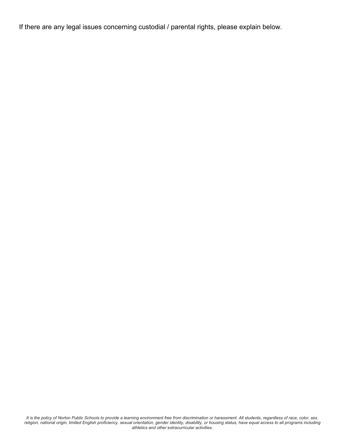If there are any legal issues concerning custodial / parental rights, please explain below.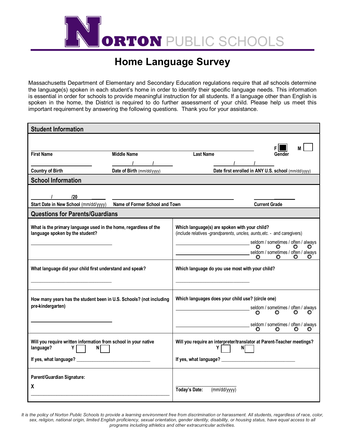

## **Home Language Survey**

Massachusetts Department of Elementary and Secondary Education regulations require that *all* schools determine the language(s) spoken in each student's home in order to identify their specific language needs. This information is essential in order for schools to provide meaningful instruction for all students. If a language other than English is spoken in the home, the District is required to do further assessment of your child. Please help us meet this important requirement by answering the following questions. Thank you for your assistance.

| <b>Student Information</b>                                                                          |                                                                                   |                  |                                                   |                                                                                               |              |
|-----------------------------------------------------------------------------------------------------|-----------------------------------------------------------------------------------|------------------|---------------------------------------------------|-----------------------------------------------------------------------------------------------|--------------|
|                                                                                                     |                                                                                   |                  |                                                   |                                                                                               |              |
| <b>First Name</b>                                                                                   | <b>Middle Name</b>                                                                | <b>Last Name</b> |                                                   | Gender                                                                                        | М            |
|                                                                                                     |                                                                                   |                  |                                                   |                                                                                               |              |
| <b>Country of Birth</b>                                                                             | Date of Birth (mm/dd/yyyy)                                                        |                  |                                                   | Date first enrolled in ANY U.S. school (mm/dd/yyyy)                                           |              |
| <b>School Information</b>                                                                           |                                                                                   |                  |                                                   |                                                                                               |              |
|                                                                                                     |                                                                                   |                  |                                                   |                                                                                               |              |
| 120                                                                                                 | <u> 1989 - Johann Stoff, amerikansk politiker (d. 1989)</u>                       |                  |                                                   |                                                                                               |              |
| Start Date in New School (mm/dd/yyyy) Name of Former School and Town                                |                                                                                   |                  |                                                   | <b>Current Grade</b>                                                                          |              |
| <b>Questions for Parents/Guardians</b>                                                              |                                                                                   |                  |                                                   |                                                                                               |              |
| What is the primary language used in the home, regardless of the<br>language spoken by the student? |                                                                                   |                  | Which language(s) are spoken with your child?     | (include relatives -grandparents, uncles, aunts, etc. - and caregivers)                       |              |
|                                                                                                     |                                                                                   |                  |                                                   | seldom / sometimes / often / always<br>seldom / sometimes / often / always<br>$\circ$ $\circ$ | O            |
| What language did your child first understand and speak?                                            |                                                                                   |                  | Which language do you use most with your child?   |                                                                                               |              |
| How many years has the student been in U.S. Schools? (not including<br>pre-kindergarten)            |                                                                                   |                  | Which languages does your child use? (circle one) | seldom / sometimes / often / always<br>o<br>$\circ$                                           | O.           |
|                                                                                                     |                                                                                   |                  |                                                   | seldom / sometimes / often / always<br>O.<br>$\circ$                                          | O<br>$\circ$ |
| Will you require written information from school in your native<br>language?<br>Υ<br>N              | Will you require an interpreter/translator at Parent-Teacher meetings?<br>Y<br>ΝI |                  |                                                   |                                                                                               |              |
|                                                                                                     |                                                                                   |                  |                                                   |                                                                                               |              |
| Parent/Guardian Signature:                                                                          |                                                                                   |                  |                                                   |                                                                                               |              |
| X                                                                                                   |                                                                                   | Today's Date:    | (mm/dd/yyyy)                                      |                                                                                               |              |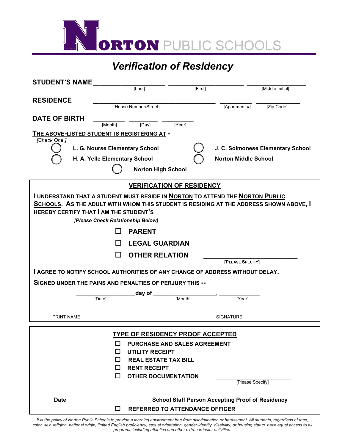

# *Verification of Residency*

| <b>STUDENT'S NAME</b>                                                                                                                                                                                                                                         |                                              |                                                                                     |         |                                                         |                                   |
|---------------------------------------------------------------------------------------------------------------------------------------------------------------------------------------------------------------------------------------------------------------|----------------------------------------------|-------------------------------------------------------------------------------------|---------|---------------------------------------------------------|-----------------------------------|
|                                                                                                                                                                                                                                                               |                                              | $\overline{\text{[Last]}}$                                                          | [First] |                                                         | [Middle Initial]                  |
| <b>RESIDENCE</b>                                                                                                                                                                                                                                              |                                              |                                                                                     |         |                                                         |                                   |
|                                                                                                                                                                                                                                                               |                                              | [House Number/Street]                                                               |         | [Apartment #]                                           | [Zip Code]                        |
| <b>DATE OF BIRTH</b>                                                                                                                                                                                                                                          |                                              |                                                                                     |         |                                                         |                                   |
|                                                                                                                                                                                                                                                               | [Month]                                      | [Day]<br>[Year]                                                                     |         |                                                         |                                   |
|                                                                                                                                                                                                                                                               | THE ABOVE-LISTED STUDENT IS REGISTERING AT - |                                                                                     |         |                                                         |                                   |
| [Check One]                                                                                                                                                                                                                                                   |                                              |                                                                                     |         |                                                         |                                   |
|                                                                                                                                                                                                                                                               | L. G. Nourse Elementary School               |                                                                                     |         |                                                         | J. C. Solmonese Elementary School |
|                                                                                                                                                                                                                                                               | H. A. Yelle Elementary School                |                                                                                     |         | <b>Norton Middle School</b>                             |                                   |
|                                                                                                                                                                                                                                                               |                                              | <b>Norton High School</b>                                                           |         |                                                         |                                   |
|                                                                                                                                                                                                                                                               |                                              | <b>VERIFICATION OF RESIDENCY</b>                                                    |         |                                                         |                                   |
| I UNDERSTAND THAT A STUDENT MUST RESIDE IN <b>NORTON TO ATTEND THE NORTON PUBLIC</b><br>SCHOOLS. AS THE ADULT WITH WHOM THIS STUDENT IS RESIDING AT THE ADDRESS SHOWN ABOVE, I<br>HEREBY CERTIFY THAT I AM THE STUDENT'S<br>[Please Check Relationship Below] |                                              |                                                                                     |         |                                                         |                                   |
|                                                                                                                                                                                                                                                               | ΙI                                           | <b>PARENT</b>                                                                       |         |                                                         |                                   |
|                                                                                                                                                                                                                                                               |                                              | <b>LEGAL GUARDIAN</b>                                                               |         |                                                         |                                   |
|                                                                                                                                                                                                                                                               | l 1                                          | <b>OTHER RELATION</b>                                                               |         | [PLEASE SPECIFY]                                        |                                   |
|                                                                                                                                                                                                                                                               |                                              | <b>I AGREE TO NOTIFY SCHOOL AUTHORITIES OF ANY CHANGE OF ADDRESS WITHOUT DELAY.</b> |         |                                                         |                                   |
|                                                                                                                                                                                                                                                               |                                              |                                                                                     |         |                                                         |                                   |
| SIGNED UNDER THE PAINS AND PENALTIES OF PERJURY THIS --                                                                                                                                                                                                       |                                              |                                                                                     |         |                                                         |                                   |
|                                                                                                                                                                                                                                                               | [Date]                                       | day of _<br>[Month]                                                                 |         | [Year]                                                  |                                   |
|                                                                                                                                                                                                                                                               |                                              |                                                                                     |         |                                                         |                                   |
| PRINT NAME                                                                                                                                                                                                                                                    |                                              |                                                                                     |         | <b>SIGNATURE</b>                                        |                                   |
|                                                                                                                                                                                                                                                               |                                              |                                                                                     |         |                                                         |                                   |
| <b>TYPE OF RESIDENCY PROOF ACCEPTED</b>                                                                                                                                                                                                                       |                                              |                                                                                     |         |                                                         |                                   |
|                                                                                                                                                                                                                                                               | П                                            | PURCHASE AND SALES AGREEMENT                                                        |         |                                                         |                                   |
|                                                                                                                                                                                                                                                               | ΙI                                           | <b>UTILITY RECEIPT</b>                                                              |         |                                                         |                                   |
|                                                                                                                                                                                                                                                               | $\mathsf{L}$                                 | <b>REAL ESTATE TAX BILL</b>                                                         |         |                                                         |                                   |
|                                                                                                                                                                                                                                                               | П                                            | <b>RENT RECEIPT</b>                                                                 |         |                                                         |                                   |
|                                                                                                                                                                                                                                                               | □                                            | <b>OTHER DOCUMENTATION</b>                                                          |         | [Please Specify]                                        |                                   |
|                                                                                                                                                                                                                                                               |                                              |                                                                                     |         |                                                         |                                   |
| <b>Date</b>                                                                                                                                                                                                                                                   |                                              |                                                                                     |         | <b>School Staff Person Accepting Proof of Residency</b> |                                   |
|                                                                                                                                                                                                                                                               | ⊔                                            | <b>REFERRED TO ATTENDANCE OFFICER</b>                                               |         |                                                         |                                   |
|                                                                                                                                                                                                                                                               |                                              |                                                                                     |         |                                                         |                                   |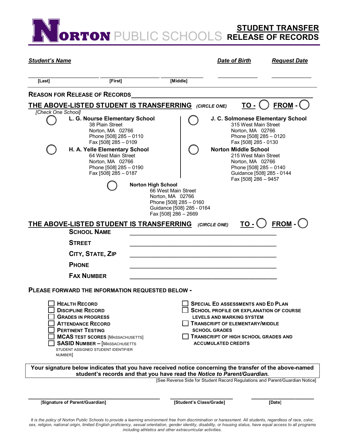**ORTON** PUBLIC SCHOOLS **STUDENT TRANSFER RELEASE OF RECORDS**

| <b>Student's Name</b> |                                                                                                                                                                                                                                                                 |                           |                                                                                                                        | <b>Date of Birth</b>                                                                                                                                                                                                                                                    | <b>Request Date</b>                                                          |
|-----------------------|-----------------------------------------------------------------------------------------------------------------------------------------------------------------------------------------------------------------------------------------------------------------|---------------------------|------------------------------------------------------------------------------------------------------------------------|-------------------------------------------------------------------------------------------------------------------------------------------------------------------------------------------------------------------------------------------------------------------------|------------------------------------------------------------------------------|
| [Last]                | [First]                                                                                                                                                                                                                                                         |                           | [Middle]                                                                                                               |                                                                                                                                                                                                                                                                         |                                                                              |
|                       | <b>REASON FOR RELEASE OF RECORDS</b>                                                                                                                                                                                                                            |                           |                                                                                                                        |                                                                                                                                                                                                                                                                         |                                                                              |
|                       | <b>THE ABOVE-LISTED STUDENT IS TRANSFERRING</b> (CIRCLE ONE)                                                                                                                                                                                                    |                           |                                                                                                                        | <u>то -</u> С                                                                                                                                                                                                                                                           | $FROM -$                                                                     |
| [Check One School]    | L. G. Nourse Elementary School<br>38 Plain Street<br>Norton, MA 02766<br>Phone [508] 285 - 0110<br>Fax [508] 285 - 0109<br>H. A. Yelle Elementary School<br>64 West Main Street<br>Norton, MA 02766<br>Phone [508] 285 - 0190<br>Fax [508] 285 - 0187           | <b>Norton High School</b> | 66 West Main Street<br>Norton, MA 02766<br>Phone [508] 285 - 0160<br>Guidance [508] 285 - 0164<br>Fax [508] 286 - 2669 | J. C. Solmonese Elementary School<br>315 West Main Street<br>Norton, MA 02766<br>Phone [508] 285 - 0120<br>Fax [508] 285 - 0130<br><b>Norton Middle School</b><br>215 West Main Street<br>Norton, MA 02766<br>Phone [508] 285 - 0140<br>Fax [508] 286 - 9457            | Guidance [508] 285 - 0144                                                    |
|                       | THE ABOVE-LISTED STUDENT IS TRANSFERRING                                                                                                                                                                                                                        |                           |                                                                                                                        | (CIRCLE ONE)                                                                                                                                                                                                                                                            | $\underline{TO}$ $\cdot$ $\bigcirc$ $\underline{FROM}$ $\cdot$ $\bigcirc$    |
|                       | <b>SCHOOL NAME</b>                                                                                                                                                                                                                                              |                           |                                                                                                                        |                                                                                                                                                                                                                                                                         |                                                                              |
|                       | <b>STREET</b>                                                                                                                                                                                                                                                   |                           |                                                                                                                        |                                                                                                                                                                                                                                                                         |                                                                              |
|                       | CITY, STATE, ZIP                                                                                                                                                                                                                                                |                           |                                                                                                                        |                                                                                                                                                                                                                                                                         |                                                                              |
|                       | <b>PHONE</b>                                                                                                                                                                                                                                                    |                           |                                                                                                                        |                                                                                                                                                                                                                                                                         |                                                                              |
|                       | <b>FAX NUMBER</b>                                                                                                                                                                                                                                               |                           |                                                                                                                        |                                                                                                                                                                                                                                                                         |                                                                              |
|                       | PLEASE FORWARD THE INFORMATION REQUESTED BELOW                                                                                                                                                                                                                  |                           |                                                                                                                        |                                                                                                                                                                                                                                                                         |                                                                              |
| NUMBER]               | <b>HEALTH RECORD</b><br><b>DISCIPLINE RECORD</b><br><b>GRADES IN PROGRESS</b><br><b>ATTENDANCE RECORD</b><br><b>PERTINENT TESTING</b><br><b>MCAS TEST SCORES [MASSACHUSETTS]</b><br><b>SASID NUMBER - [MASSACHUSETTS</b><br>STUDENT ASSIGNED STUDENT IDENTIFIER |                           |                                                                                                                        | <b>SPECIAL ED ASSESSMENTS AND ED PLAN</b><br><b>SCHOOL PROFILE OR EXPLANATION OF COURSE</b><br><b>LEVELS AND MARKING SYSTEM</b><br><b>TRANSCRIPT OF ELEMENTARY/MIDDLE</b><br><b>SCHOOL GRADES</b><br>TRANSCRIPT OF HIGH SCHOOL GRADES AND<br><b>ACCUMULATED CREDITS</b> |                                                                              |
|                       | Your signature below indicates that you have received notice concerning the transfer of the above-named                                                                                                                                                         |                           |                                                                                                                        | student's records and that you have read the Notice to Parent/Guardian.                                                                                                                                                                                                 |                                                                              |
|                       |                                                                                                                                                                                                                                                                 |                           |                                                                                                                        |                                                                                                                                                                                                                                                                         | [See Reverse Side for Student Record Regulations and Parent/Guardian Notice] |
|                       | [Signature of Parent/Guardian]                                                                                                                                                                                                                                  |                           | [Student's Class/Grade]                                                                                                |                                                                                                                                                                                                                                                                         | [Date]                                                                       |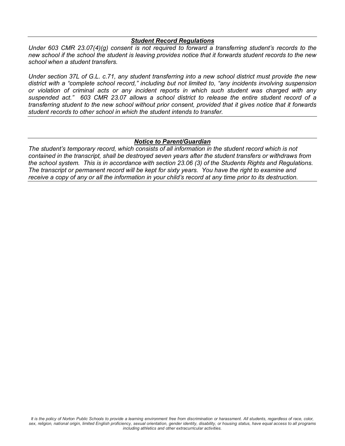#### *Student Record Regulations*

*Under 603 CMR 23.07(4)(g) consent is not required to forward a transferring student's records to the new school if the school the student is leaving provides notice that it forwards student records to the new school when a student transfers.*

*Under section 37L of G.L. c.71, any student transferring into a new school district must provide the new district with a "complete school record," including but not limited to, "any incidents involving suspension or violation of criminal acts or any incident reports in which such student was charged with any suspended act." 603 CMR 23.07 allows a school district to release the entire student record of a transferring student to the new school without prior consent, provided that it gives notice that it forwards student records to other school in which the student intends to transfer.*

#### *Notice to Parent/Guardian*

*The student's temporary record, which consists of all information in the student record which is not contained in the transcript, shall be destroyed seven years after the student transfers or withdraws from the school system. This is in accordance with section 23.06 (3) of the Students Rights and Regulations. The transcript or permanent record will be kept for sixty years. You have the right to examine and receive a copy of any or all the information in your child's record at any time prior to its destruction.*